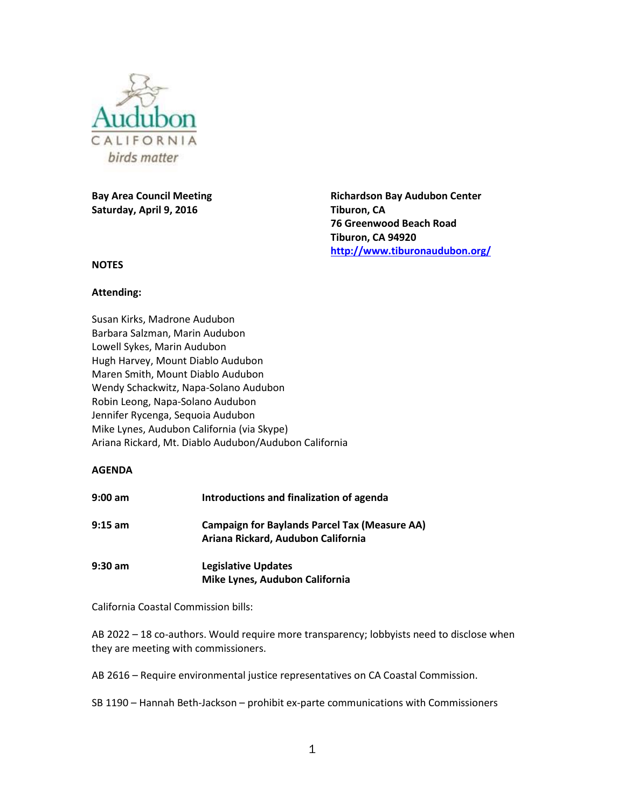

**Bay Area Council Meeting Saturday, April 9, 2016**

**Richardson Bay Audubon Center Tiburon, CA 76 Greenwood Beach Road Tiburon, CA 94920 <http://www.tiburonaudubon.org/>**

#### **NOTES**

#### **Attending:**

Susan Kirks, Madrone Audubon Barbara Salzman, Marin Audubon Lowell Sykes, Marin Audubon Hugh Harvey, Mount Diablo Audubon Maren Smith, Mount Diablo Audubon Wendy Schackwitz, Napa-Solano Audubon Robin Leong, Napa-Solano Audubon Jennifer Rycenga, Sequoia Audubon Mike Lynes, Audubon California (via Skype) Ariana Rickard, Mt. Diablo Audubon/Audubon California

#### **AGENDA**

| $9:00$ am | Introductions and finalization of agenda                                                   |
|-----------|--------------------------------------------------------------------------------------------|
| $9:15$ am | <b>Campaign for Baylands Parcel Tax (Measure AA)</b><br>Ariana Rickard, Audubon California |
| $9:30$ am | <b>Legislative Updates</b><br>Mike Lynes, Audubon California                               |

California Coastal Commission bills:

AB 2022 – 18 co-authors. Would require more transparency; lobbyists need to disclose when they are meeting with commissioners.

AB 2616 – Require environmental justice representatives on CA Coastal Commission.

SB 1190 – Hannah Beth-Jackson – prohibit ex-parte communications with Commissioners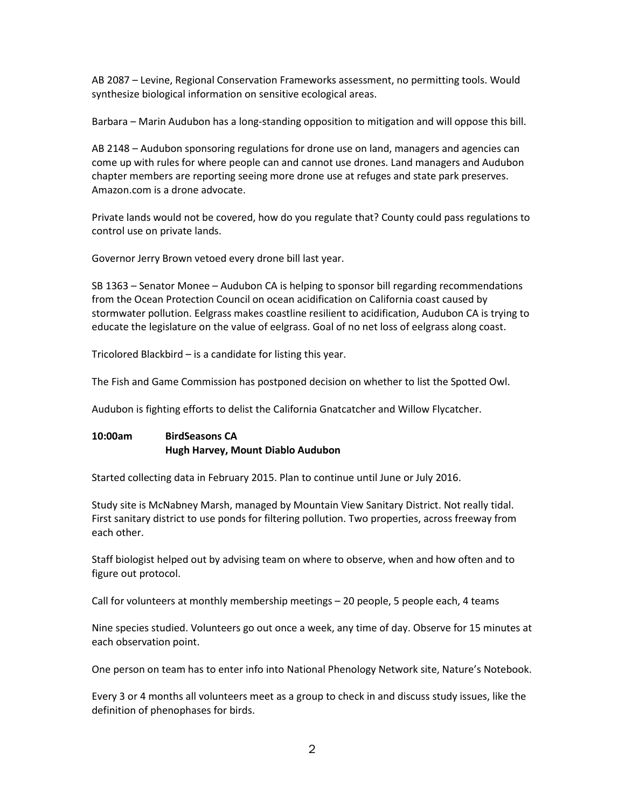AB 2087 – Levine, Regional Conservation Frameworks assessment, no permitting tools. Would synthesize biological information on sensitive ecological areas.

Barbara – Marin Audubon has a long-standing opposition to mitigation and will oppose this bill.

AB 2148 – Audubon sponsoring regulations for drone use on land, managers and agencies can come up with rules for where people can and cannot use drones. Land managers and Audubon chapter members are reporting seeing more drone use at refuges and state park preserves. Amazon.com is a drone advocate.

Private lands would not be covered, how do you regulate that? County could pass regulations to control use on private lands.

Governor Jerry Brown vetoed every drone bill last year.

SB 1363 – Senator Monee – Audubon CA is helping to sponsor bill regarding recommendations from the Ocean Protection Council on ocean acidification on California coast caused by stormwater pollution. Eelgrass makes coastline resilient to acidification, Audubon CA is trying to educate the legislature on the value of eelgrass. Goal of no net loss of eelgrass along coast.

Tricolored Blackbird – is a candidate for listing this year.

The Fish and Game Commission has postponed decision on whether to list the Spotted Owl.

Audubon is fighting efforts to delist the California Gnatcatcher and Willow Flycatcher.

# **10:00am BirdSeasons CA Hugh Harvey, Mount Diablo Audubon**

Started collecting data in February 2015. Plan to continue until June or July 2016.

Study site is McNabney Marsh, managed by Mountain View Sanitary District. Not really tidal. First sanitary district to use ponds for filtering pollution. Two properties, across freeway from each other.

Staff biologist helped out by advising team on where to observe, when and how often and to figure out protocol.

Call for volunteers at monthly membership meetings – 20 people, 5 people each, 4 teams

Nine species studied. Volunteers go out once a week, any time of day. Observe for 15 minutes at each observation point.

One person on team has to enter info into National Phenology Network site, Nature's Notebook.

Every 3 or 4 months all volunteers meet as a group to check in and discuss study issues, like the definition of phenophases for birds.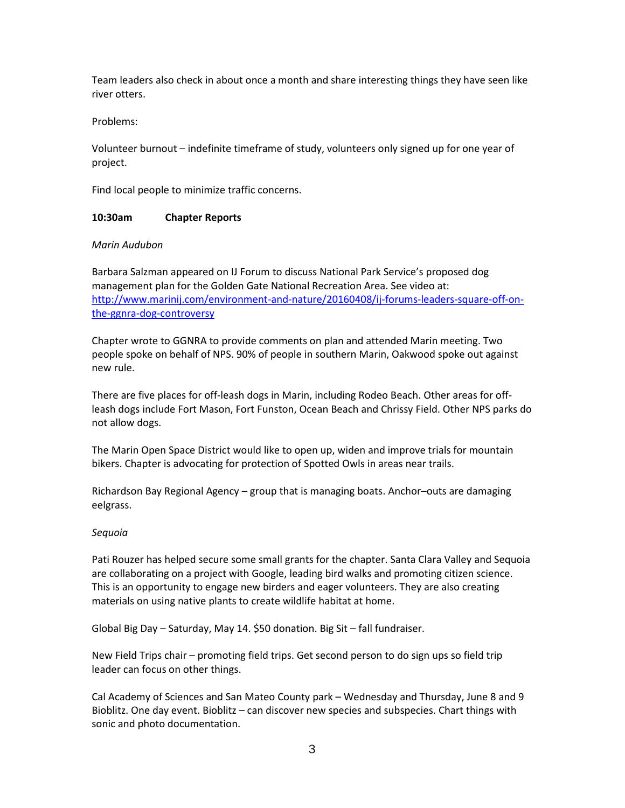Team leaders also check in about once a month and share interesting things they have seen like river otters.

Problems:

Volunteer burnout – indefinite timeframe of study, volunteers only signed up for one year of project.

Find local people to minimize traffic concerns.

## **10:30am Chapter Reports**

### *Marin Audubon*

Barbara Salzman appeared on IJ Forum to discuss National Park Service's proposed dog management plan for the Golden Gate National Recreation Area. See video at: [http://www.marinij.com/environment-and-nature/20160408/ij-forums-leaders-square-off-on](http://www.marinij.com/environment-and-nature/20160408/ij-forums-leaders-square-off-on-the-ggnra-dog-controversy)[the-ggnra-dog-controversy](http://www.marinij.com/environment-and-nature/20160408/ij-forums-leaders-square-off-on-the-ggnra-dog-controversy)

Chapter wrote to GGNRA to provide comments on plan and attended Marin meeting. Two people spoke on behalf of NPS. 90% of people in southern Marin, Oakwood spoke out against new rule.

There are five places for off-leash dogs in Marin, including Rodeo Beach. Other areas for offleash dogs include Fort Mason, Fort Funston, Ocean Beach and Chrissy Field. Other NPS parks do not allow dogs.

The Marin Open Space District would like to open up, widen and improve trials for mountain bikers. Chapter is advocating for protection of Spotted Owls in areas near trails.

Richardson Bay Regional Agency – group that is managing boats. Anchor–outs are damaging eelgrass.

# *Sequoia*

Pati Rouzer has helped secure some small grants for the chapter. Santa Clara Valley and Sequoia are collaborating on a project with Google, leading bird walks and promoting citizen science. This is an opportunity to engage new birders and eager volunteers. They are also creating materials on using native plants to create wildlife habitat at home.

Global Big Day – Saturday, May 14. \$50 donation. Big Sit – fall fundraiser.

New Field Trips chair – promoting field trips. Get second person to do sign ups so field trip leader can focus on other things.

Cal Academy of Sciences and San Mateo County park – Wednesday and Thursday, June 8 and 9 Bioblitz. One day event. Bioblitz – can discover new species and subspecies. Chart things with sonic and photo documentation.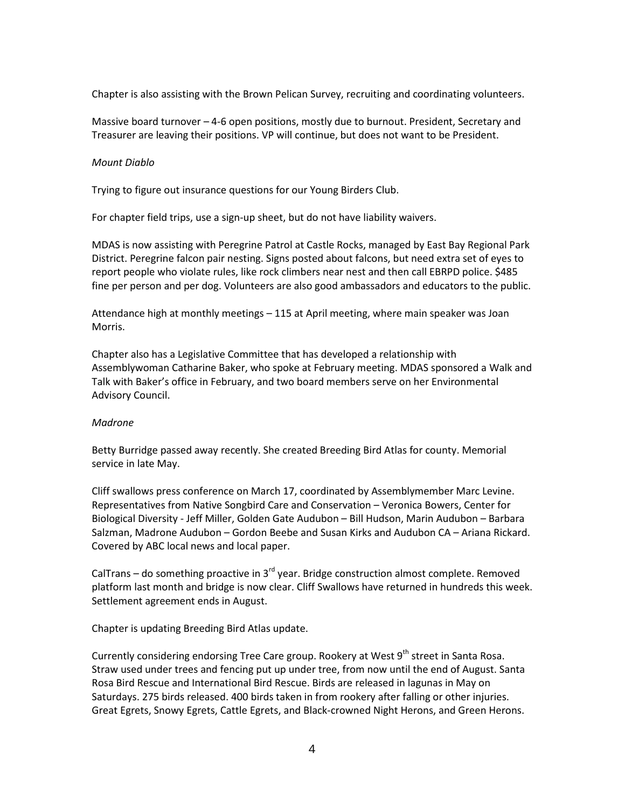Chapter is also assisting with the Brown Pelican Survey, recruiting and coordinating volunteers.

Massive board turnover – 4-6 open positions, mostly due to burnout. President, Secretary and Treasurer are leaving their positions. VP will continue, but does not want to be President.

#### *Mount Diablo*

Trying to figure out insurance questions for our Young Birders Club.

For chapter field trips, use a sign-up sheet, but do not have liability waivers.

MDAS is now assisting with Peregrine Patrol at Castle Rocks, managed by East Bay Regional Park District. Peregrine falcon pair nesting. Signs posted about falcons, but need extra set of eyes to report people who violate rules, like rock climbers near nest and then call EBRPD police. \$485 fine per person and per dog. Volunteers are also good ambassadors and educators to the public.

Attendance high at monthly meetings – 115 at April meeting, where main speaker was Joan Morris.

Chapter also has a Legislative Committee that has developed a relationship with Assemblywoman Catharine Baker, who spoke at February meeting. MDAS sponsored a Walk and Talk with Baker's office in February, and two board members serve on her Environmental Advisory Council.

### *Madrone*

Betty Burridge passed away recently. She created Breeding Bird Atlas for county. Memorial service in late May.

Cliff swallows press conference on March 17, coordinated by Assemblymember Marc Levine. Representatives from Native Songbird Care and Conservation – Veronica Bowers, Center for Biological Diversity - Jeff Miller, Golden Gate Audubon – Bill Hudson, Marin Audubon – Barbara Salzman, Madrone Audubon – Gordon Beebe and Susan Kirks and Audubon CA – Ariana Rickard. Covered by ABC local news and local paper.

CalTrans – do something proactive in  $3<sup>rd</sup>$  year. Bridge construction almost complete. Removed platform last month and bridge is now clear. Cliff Swallows have returned in hundreds this week. Settlement agreement ends in August.

Chapter is updating Breeding Bird Atlas update.

Currently considering endorsing Tree Care group. Rookery at West 9<sup>th</sup> street in Santa Rosa. Straw used under trees and fencing put up under tree, from now until the end of August. Santa Rosa Bird Rescue and International Bird Rescue. Birds are released in lagunas in May on Saturdays. 275 birds released. 400 birds taken in from rookery after falling or other injuries. Great Egrets, Snowy Egrets, Cattle Egrets, and Black-crowned Night Herons, and Green Herons.